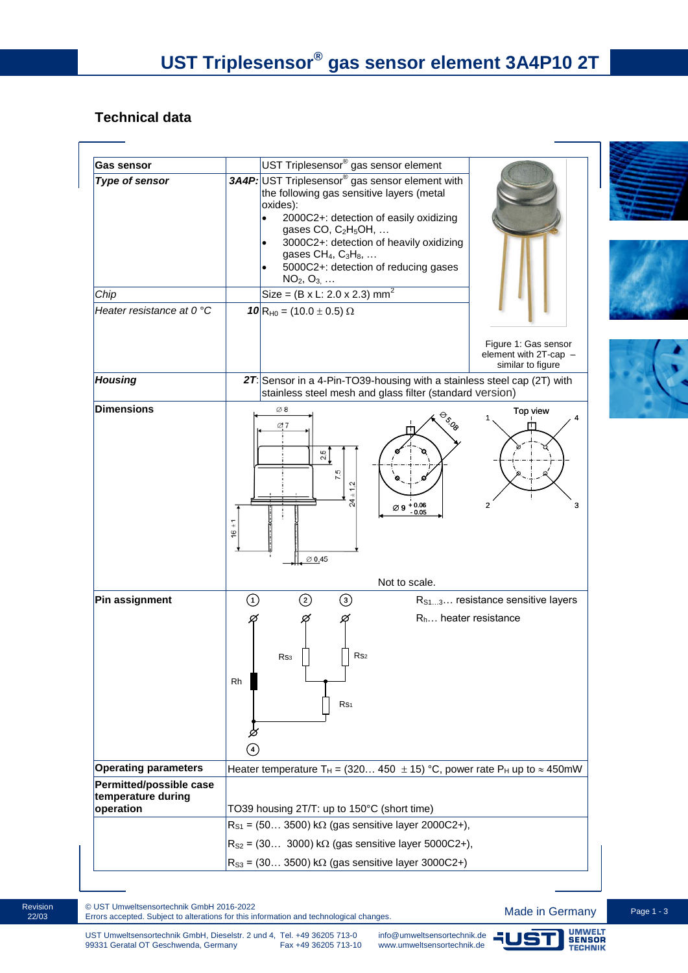# **Technical data**

| <b>Gas sensor</b>                                                 | UST Triplesensor <sup>®</sup> gas sensor element                                                                                                                                                                                                                                                                                                                                                                                                                           |  |  |
|-------------------------------------------------------------------|----------------------------------------------------------------------------------------------------------------------------------------------------------------------------------------------------------------------------------------------------------------------------------------------------------------------------------------------------------------------------------------------------------------------------------------------------------------------------|--|--|
| <b>Type of sensor</b><br>Chip<br>Heater resistance at 0 °C        | 3A4P: UST Triplesensor <sup>®</sup> gas sensor element with<br>the following gas sensitive layers (metal<br>oxides):<br>2000C2+: detection of easily oxidizing<br>$\bullet$<br>gases CO, C <sub>2</sub> H <sub>5</sub> OH,<br>3000C2+: detection of heavily oxidizing<br>$\bullet$<br>gases $CH_4$ , $C_3H_8$ ,<br>5000C2+: detection of reducing gases<br>$NO_2, O_{3,} $<br>Size = $(B \times L: 2.0 \times 2.3)$ mm <sup>2</sup><br>10 R <sub>H0</sub> = (10.0 ± 0.5) Ω |  |  |
| <b>Housing</b>                                                    | Figure 1: Gas sensor<br>element with 2T-cap -<br>similar to figure<br>27: Sensor in a 4-Pin-TO39-housing with a stainless steel cap (2T) with                                                                                                                                                                                                                                                                                                                              |  |  |
|                                                                   | stainless steel mesh and glass filter (standard version)                                                                                                                                                                                                                                                                                                                                                                                                                   |  |  |
| <b>Dimensions</b>                                                 | $\varnothing$ 8<br>Top view<br>$\overset{\oplus_{{\mathfrak Q}}}{\rightarrow} \mathfrak{g}$<br>Ø7<br>π<br>$\frac{5}{20}$<br>7.5<br>1.2<br>$\varnothing$ 9 + 0.06<br>$\mathbf{2}$<br>3<br>$\overline{6}$<br>$\emptyset$ 0.45                                                                                                                                                                                                                                                |  |  |
|                                                                   | Not to scale.                                                                                                                                                                                                                                                                                                                                                                                                                                                              |  |  |
| Pin assignment                                                    | $\odot$<br>②<br>$\odot$<br>R <sub>S13</sub> resistance sensitive layers<br>$R_h$ heater resistance<br>Ø<br>Ø<br>R <sub>S2</sub><br>Rs <sub>3</sub><br>Rh<br>Rs1<br>Ø<br>$\left( 4\right)$                                                                                                                                                                                                                                                                                  |  |  |
| <b>Operating parameters</b>                                       | Heater temperature T <sub>H</sub> = (320 450 $\pm$ 15) °C, power rate P <sub>H</sub> up to $\approx$ 450mW                                                                                                                                                                                                                                                                                                                                                                 |  |  |
| <b>Permitted/possible case</b><br>temperature during<br>operation | TO39 housing 2T/T: up to 150°C (short time)                                                                                                                                                                                                                                                                                                                                                                                                                                |  |  |
|                                                                   | $R_{S1}$ = (50 3500) k $\Omega$ (gas sensitive layer 2000C2+),                                                                                                                                                                                                                                                                                                                                                                                                             |  |  |
|                                                                   | $R_{S2}$ = (30 3000) k $\Omega$ (gas sensitive layer 5000C2+),                                                                                                                                                                                                                                                                                                                                                                                                             |  |  |
|                                                                   | $R_{S3}$ = (30 3500) k $\Omega$ (gas sensitive layer 3000C2+)                                                                                                                                                                                                                                                                                                                                                                                                              |  |  |

Revision 22/03

© UST Umweltsensortechnik GmbH 2016-2022<br>Errors accepted. Subject to alterations for this information and technological changes. **Made in Germany** Page 1 - 3

JST

UMWELT<br>SENSOR<br>TECHNIK

ו ר

[info@umweltsensortechnik.de](mailto:info@umweltsensortechnik.de) [www.umweltsensortechnik.de](http://www.umweltsensortechnik.de/)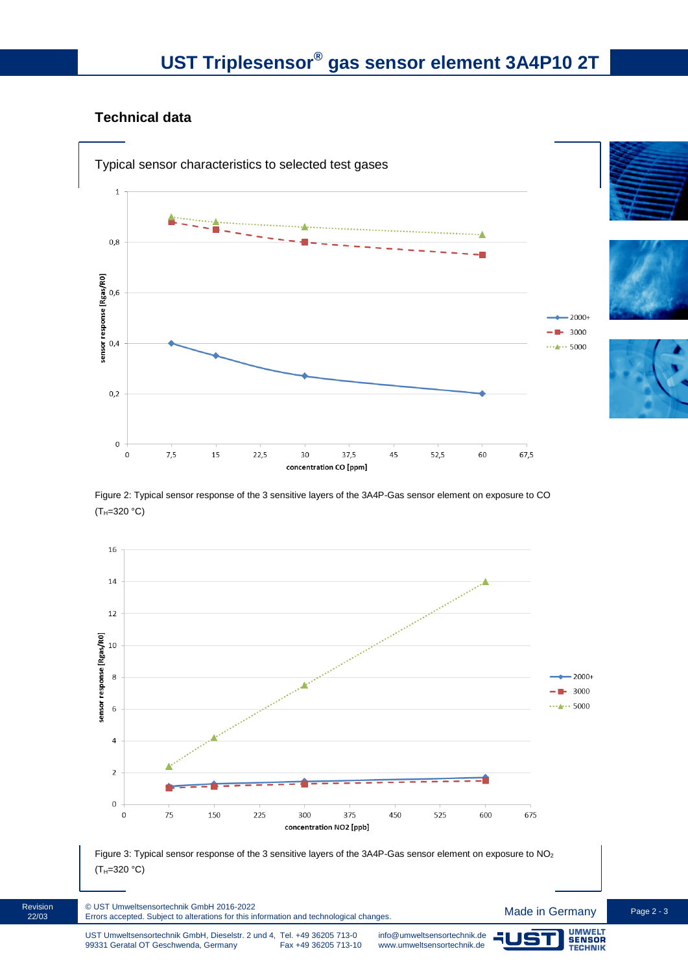## **Technical data**



Figure 2: Typical sensor response of the 3 sensitive layers of the 3A4P-Gas sensor element on exposure to CO  $(T_{H} = 320 °C)$ 







Revision 22/03

**SENSOR**<br>TECHNIK